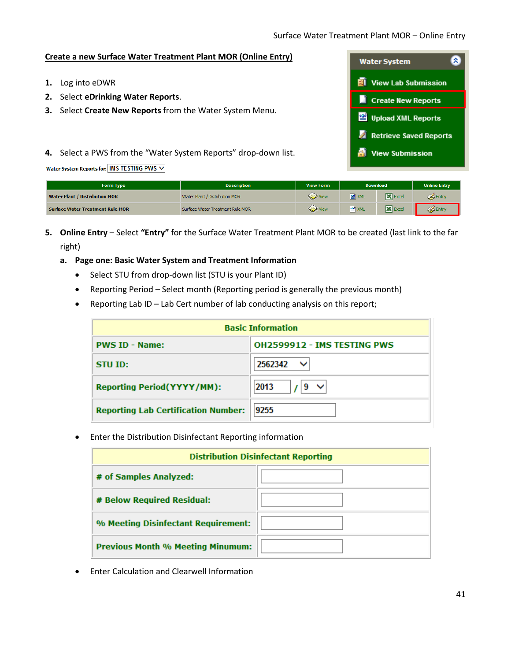# **Create a new Surface Water Treatment Plant MOR (Online Entry)**

- **1.** Log into eDWR
- **2.** Select **eDrinking Water Reports**.
- **3.** Select **Create New Reports** from the Water System Menu.
- **4.** Select a PWS from the "Water System Reports" drop-down list.



|  | Water System Reports for: IMS TESTING PWS $\vee$ |
|--|--------------------------------------------------|
|--|--------------------------------------------------|

| <b>Form Type</b>                        | <b>Description</b>               | <b>View Form</b>  | <b>Download</b>  |                               | <b>Online Entry</b> |
|-----------------------------------------|----------------------------------|-------------------|------------------|-------------------------------|---------------------|
| <b>Water Plant / Distribution MOR</b>   | Water Plant / Distribution MOR   | View              | <b>SOF XML</b>   | $\overline{\mathbf{X}}$ Excel | Entry               |
| <b>Surface Water Treatment Rule MOR</b> | Surface Water Treatment Rule MOR | View <b>Start</b> | <sup>空</sup> XML | $\overline{\mathbf{X}}$ Excel | Entry               |

- **5. Online Entry** Select **"Entry"** for the Surface Water Treatment Plant MOR to be created (last link to the far right)
	- **a. Page one: Basic Water System and Treatment Information**
		- Select STU from drop-down list (STU is your Plant ID)
		- Reporting Period Select month (Reporting period is generally the previous month)
		- Reporting Lab ID Lab Cert number of lab conducting analysis on this report;

| <b>Basic Information</b>                             |                           |  |  |
|------------------------------------------------------|---------------------------|--|--|
| <b>PWS ID - Name:</b><br>OH2599912 - IMS TESTING PWS |                           |  |  |
| STU ID:                                              | 2562342<br>◡              |  |  |
| <b>Reporting Period(YYYY/MM):</b>                    | 2013<br>9<br>$\checkmark$ |  |  |
| <b>Reporting Lab Certification Number:</b>           | 9255                      |  |  |

• Enter the Distribution Disinfectant Reporting information

| <b>Distribution Disinfectant Reporting</b> |  |  |  |  |
|--------------------------------------------|--|--|--|--|
| # of Samples Analyzed:                     |  |  |  |  |
| # Below Required Residual:                 |  |  |  |  |
| % Meeting Disinfectant Requirement:        |  |  |  |  |
| <b>Previous Month % Meeting Minumum:</b>   |  |  |  |  |

• Enter Calculation and Clearwell Information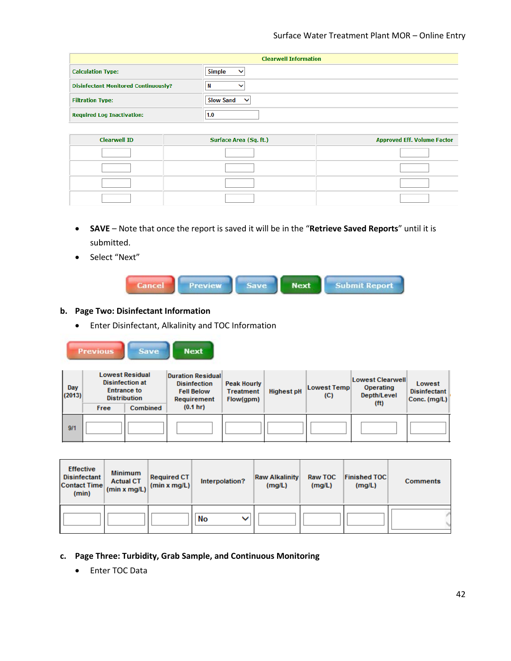| <b>Clearwell Information</b>                |                                  |  |  |
|---------------------------------------------|----------------------------------|--|--|
| <b>Calculation Type:</b>                    | <b>Simple</b><br>$\checkmark$    |  |  |
| <b>Disinfectant Monitored Continuously?</b> | N                                |  |  |
| <b>Filtration Type:</b>                     | <b>Slow Sand</b><br>$\checkmark$ |  |  |
| <b>Required Log Inactivation:</b>           | 1.0                              |  |  |

| <b>Clearwell ID</b> | Surface Area (Sq. ft.) | <b>Approved Eff. Volume Factor</b> |
|---------------------|------------------------|------------------------------------|
|                     |                        |                                    |
|                     |                        |                                    |
|                     |                        |                                    |
|                     |                        |                                    |

- **SAVE**  Note that once the report is saved it will be in the "**Retrieve Saved Reports**" until it is submitted.
- Select "Next"



# **b. Page Two: Disinfectant Information**

Previous Save

• Enter Disinfectant, Alkalinity and TOC Information

**Next** 

| Day<br>(2013) | <b>Lowest Residual</b><br><b>Duration Residual</b><br><b>Disinfection at</b><br><b>Disinfection</b><br><b>Entrance to</b><br><b>Fell Below</b><br><b>Distribution</b><br>Requirement<br>(0.1 h)<br><b>Combined</b><br>Free |  | <b>Peak Hourly</b><br><b>Treatment</b><br>Flow(qpm) | <b>Highest pH</b> | <b>Lowest Temp</b><br>(C) | Lowest Clearwell<br>Operating<br>Depth/Level<br>(f <sup>t</sup> ) | Lowest<br><b>Disinfectant</b><br>Conc. (mg/L) |  |
|---------------|----------------------------------------------------------------------------------------------------------------------------------------------------------------------------------------------------------------------------|--|-----------------------------------------------------|-------------------|---------------------------|-------------------------------------------------------------------|-----------------------------------------------|--|
| 9/1           |                                                                                                                                                                                                                            |  |                                                     |                   |                           |                                                                   |                                               |  |

| <b>Effective</b><br><b>Disinfectant</b><br><b>Contact Time</b><br>(min) | <b>Minimum</b><br><b>Actual CT</b><br>(min x mg/L) | <b>Required CT</b><br>$\vert$ (min x mg/L) | Interpolation? | <b>Raw Alkalinity</b><br>(mg/L) | Raw TOC<br>(mg/L) | <b>Finished TOC</b><br>(mg/L) | <b>Comments</b> |
|-------------------------------------------------------------------------|----------------------------------------------------|--------------------------------------------|----------------|---------------------------------|-------------------|-------------------------------|-----------------|
|                                                                         |                                                    |                                            | No<br>v        |                                 |                   |                               |                 |

- **c. Page Three: Turbidity, Grab Sample, and Continuous Monitoring**
	- Enter TOC Data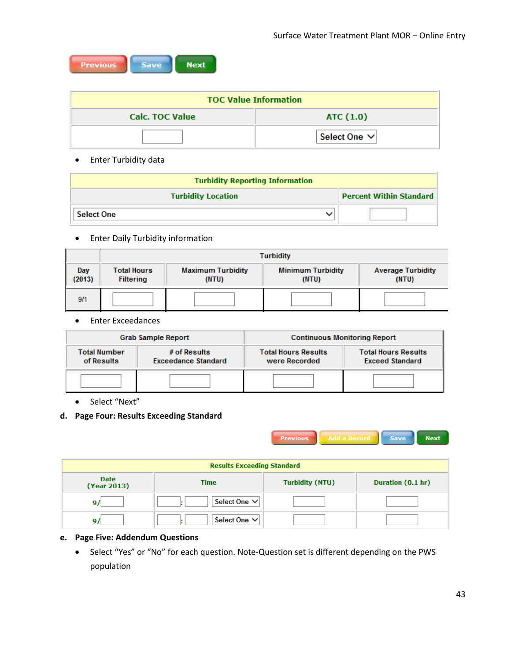| <b>Previous</b> | <b>Save</b> | <b>Next</b> |
|-----------------|-------------|-------------|
|-----------------|-------------|-------------|

| <b>TOC Value Information</b>        |                   |  |  |
|-------------------------------------|-------------------|--|--|
| <b>Calc. TOC Value</b><br>ATC (1.0) |                   |  |  |
|                                     | Select One $\vee$ |  |  |

# • Enter Turbidity data

| <b>Turbidity Reporting Information</b>                      |  |  |  |  |
|-------------------------------------------------------------|--|--|--|--|
| <b>Percent Within Standard</b><br><b>Turbidity Location</b> |  |  |  |  |
| <b>Select One</b>                                           |  |  |  |  |

• Enter Daily Turbidity information

|               | <b>Turbidity</b>                       |                                   |                                   |                                   |  |  |
|---------------|----------------------------------------|-----------------------------------|-----------------------------------|-----------------------------------|--|--|
| Day<br>(2013) | <b>Total Hours</b><br><b>Filtering</b> | <b>Maximum Turbidity</b><br>(NTU) | <b>Minimum Turbidity</b><br>(NTU) | <b>Average Turbidity</b><br>(NTU) |  |  |
| 9/1           |                                        |                                   |                                   |                                   |  |  |

• Enter Exceedances

|                                                                                 | <b>Grab Sample Report</b> | <b>Continuous Monitoring Report</b>         |                                                      |  |
|---------------------------------------------------------------------------------|---------------------------|---------------------------------------------|------------------------------------------------------|--|
| <b>Total Number</b><br># of Results<br>of Results<br><b>Exceedance Standard</b> |                           | <b>Total Hours Results</b><br>were Recorded | <b>Total Hours Results</b><br><b>Exceed Standard</b> |  |
|                                                                                 |                           |                                             |                                                      |  |

• Select "Next"

# **d. Page Four: Results Exceeding Standard**



| <b>Results Exceeding Standard</b> |              |                        |                   |  |  |
|-----------------------------------|--------------|------------------------|-------------------|--|--|
| <b>Date</b><br>(Year 2013)        | <b>Time</b>  | <b>Turbidity (NTU)</b> | Duration (0.1 hr) |  |  |
|                                   | Select One V |                        |                   |  |  |
|                                   | Select One V |                        |                   |  |  |

# **e. Page Five: Addendum Questions**

• Select "Yes" or "No" for each question. Note-Question set is different depending on the PWS population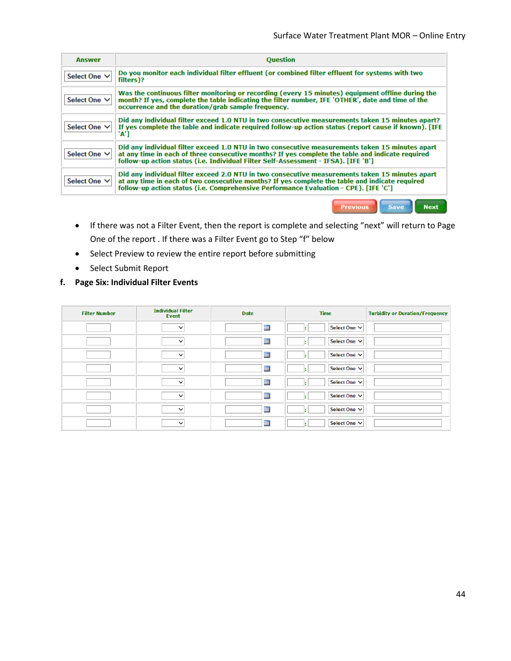| <b>Answer</b>     | <b>Question</b>                                                                                                                                                                                                                                                                           |
|-------------------|-------------------------------------------------------------------------------------------------------------------------------------------------------------------------------------------------------------------------------------------------------------------------------------------|
| Select One $\vee$ | Do you monitor each individual filter effluent (or combined filter effluent for systems with two<br>filters)?                                                                                                                                                                             |
| Select One V      | Was the continuous filter monitoring or recording (every 15 minutes) equipment offline during the<br>month? If yes, complete the table indicating the filter number, IFE 'OTHER', date and time of the<br>occurrence and the duration/grab sample frequency.                              |
| Select One V      | Did any individual filter exceed 1.0 NTU in two consecutive measurements taken 15 minutes apart?<br>If yes complete the table and indicate required follow-up action status (report cause if known). [IFE<br>'A'1                                                                         |
| Select One ∨      | Did any individual filter exceed 1.0 NTU in two consecutive measurements taken 15 minutes apart<br>at any time in each of three consecutive months? If yes complete the table and indicate required<br>follow-up action status (i.e. Individual Filter Self-Assessment - IFSA). [IFE 'B'] |
| Select One V      | Did any individual filter exceed 2.0 NTU in two consecutive measurements taken 15 minutes apart<br>at any time in each of two consecutive months? If yes complete the table and indicate required<br>follow-up action status (i.e. Comprehensive Performance Evaluation - CPE). [IFE 'C'] |
|                   | <b>Save</b><br><b>Next</b><br>Previous                                                                                                                                                                                                                                                    |

- If there was not a Filter Event, then the report is complete and selecting "next" will return to Page One of the report . If there was a Filter Event go to Step "f" below
- Select Preview to review the entire report before submitting
- Select Submit Report
- **f. Page Six: Individual Filter Events**

| <b>Filter Number</b> | <b>Individual Filter</b><br><b>Event</b> | <b>Date</b>    | <b>Time</b>       | <b>Turbidity or Duration/Frequency</b> |
|----------------------|------------------------------------------|----------------|-------------------|----------------------------------------|
|                      | $\check{ }$                              | $\blacksquare$ | Select One $\vee$ |                                        |
|                      | ◡                                        | 圓              | Select One $\vee$ |                                        |
|                      | $\checkmark$                             | $\blacksquare$ | Select One $\vee$ |                                        |
|                      | $\checkmark$                             | $\blacksquare$ | Select One $\vee$ |                                        |
|                      | $\check{ }$                              | $\blacksquare$ | Select One $\vee$ |                                        |
|                      | $\checkmark$                             | E              | Select One $\vee$ |                                        |
|                      | $\check{ }$                              | 圍              | Select One $\vee$ |                                        |
|                      | $\checkmark$                             | 圖              | Select One $\vee$ |                                        |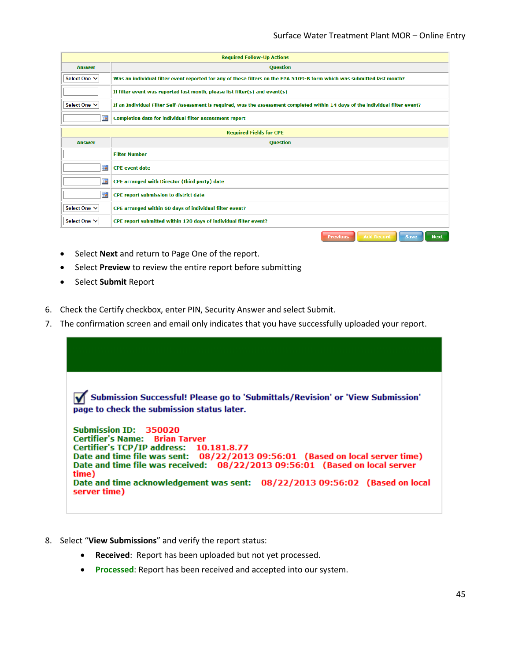| <b>Required Follow-Up Actions</b> |                                                                                                                                  |  |  |  |  |  |
|-----------------------------------|----------------------------------------------------------------------------------------------------------------------------------|--|--|--|--|--|
| <b>Answer</b>                     | <b>Question</b>                                                                                                                  |  |  |  |  |  |
| Select One V                      | Was an individual filter event reported for any of these filters on the EPA 5109-B form which was submitted last month?          |  |  |  |  |  |
|                                   | If filter event was reported last month, please list filter(s) and event(s)                                                      |  |  |  |  |  |
| Select One ∨                      | If an Individual Filter Self-Assessment is required, was the assessment completed within 14 days of the individual filter event? |  |  |  |  |  |
| ד                                 | <b>Completion date for individual filter assessment report</b>                                                                   |  |  |  |  |  |
|                                   | <b>Required Fields for CPE</b>                                                                                                   |  |  |  |  |  |
| <b>Answer</b>                     | <b>Question</b>                                                                                                                  |  |  |  |  |  |
|                                   | <b>Filter Number</b>                                                                                                             |  |  |  |  |  |
| m                                 | <b>CPE</b> event date                                                                                                            |  |  |  |  |  |
| 圍                                 | CPE arranged with Director (third party) date                                                                                    |  |  |  |  |  |
| 罰                                 | CPE report submission to district date                                                                                           |  |  |  |  |  |
| Select One ∨                      | CPE arranged within 60 days of individual filter event?                                                                          |  |  |  |  |  |
| Select One ∨                      | CPE report submitted within 120 days of individual filter event?                                                                 |  |  |  |  |  |
|                                   | <b>Add Record</b><br><b>Previous</b><br>Save<br><b>Next</b>                                                                      |  |  |  |  |  |

- Select **Next** and return to Page One of the report.
- Select **Preview** to review the entire report before submitting
- Select **Submit** Report
- 6. Check the Certify checkbox, enter PIN, Security Answer and select Submit.
- 7. The confirmation screen and email only indicates that you have successfully uploaded your report.



- 8. Select "**View Submissions**" and verify the report status:
	- **Received**: Report has been uploaded but not yet processed.
	- **Processed**: Report has been received and accepted into our system.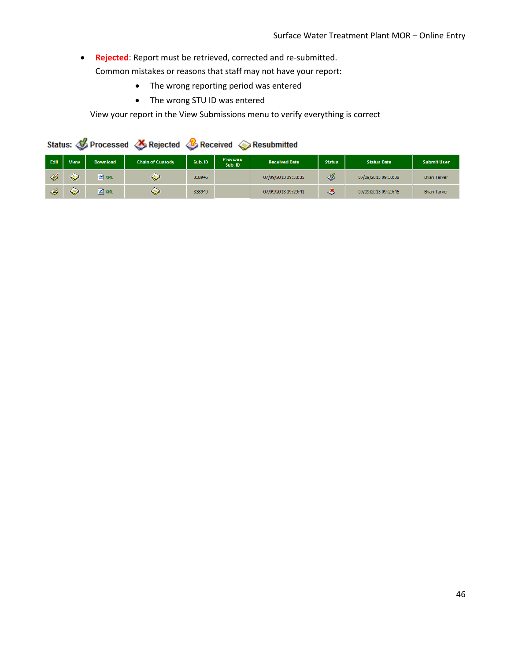• **Rejected**: Report must be retrieved, corrected and re-submitted.

Common mistakes or reasons that staff may not have your report:

- The wrong reporting period was entered
- The wrong STU ID was entered

View your report in the View Submissions menu to verify everything is correct

|               | Status: <b>Status:</b> Processed & Rejected & Received <b>&amp; Resubmitted</b> |          |                         |         |                            |                      |               |                     |                     |
|---------------|---------------------------------------------------------------------------------|----------|-------------------------|---------|----------------------------|----------------------|---------------|---------------------|---------------------|
| Edit          | <b>View</b>                                                                     | Download | <b>Chain of Custody</b> | Sub. ID | <b>Previous</b><br>Sub. ID | <b>Received Date</b> | <b>Status</b> | <b>Status Date</b>  | <b>Submit User</b>  |
| $\mathscr{A}$ | S                                                                               | 图 XML    | ❤                       | 338945  |                            | 07/09/2013 09:33:35  | I             | 07/09/2013 09:33:38 | <b>Brian Tarver</b> |
| $\mathscr{L}$ | ❤                                                                               | 图 XML    | S                       | 338940  |                            | 07/09/2013 09:29:41  | ö             | 07/09/2013 09:29:45 | <b>Brian Tarver</b> |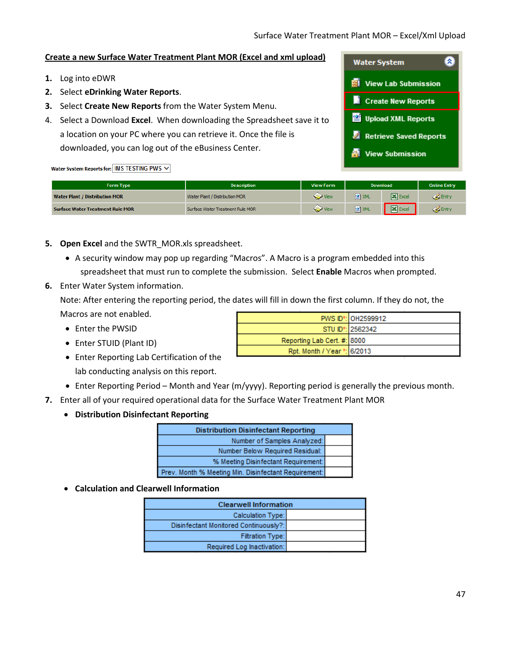# **Create a new Surface Water Treatment Plant MOR (Excel and xml upload)**

- **1.** Log into eDWR
- **2.** Select **eDrinking Water Reports**.
- **3.** Select **Create New Reports** from the Water System Menu.
- 4. Select a Download **Excel**. When downloading the Spreadsheet save it to a location on your PC where you can retrieve it. Once the file is downloaded, you can log out of the eBusiness Center.

| <b>Water System</b>           |
|-------------------------------|
| <b>Wi</b> View Lab Submission |
| Create New Reports            |
| Upload XML Reports            |
| Retrieve Saved Reports        |
| <b>View Submission</b>        |

#### Water System Reports for: IMS TESTING PWS  $\vee$

| Form Type                               | <b>Description</b>               | <b>View Form</b> | <b>Download</b> |                               | <b>Online Entry</b> |
|-----------------------------------------|----------------------------------|------------------|-----------------|-------------------------------|---------------------|
| <b>Water Plant / Distribution MOR</b>   | Water Plant / Distribution MOR   | View             | <b>O</b> XML    | <b>X</b> Excel                | Entry               |
| <b>Surface Water Treatment Rule MOR</b> | Surface Water Treatment Rule MOR | View             | <b>P</b> XML    | $\mathbf{\overline{X}}$ Excel | Entry               |

- **5. Open Excel** and the SWTR\_MOR.xls spreadsheet.
	- A security window may pop up regarding "Macros". A Macro is a program embedded into this spreadsheet that must run to complete the submission. Select **Enable** Macros when prompted.
- **6.** Enter Water System information.

Note: After entering the reporting period, the dates will fill in down the first column. If they do not, the Macros are not enabled.

- Enter the PWSID
- Enter STUID (Plant ID)
- Enter Reporting Lab Certification of the lab conducting analysis on this report.

|                             | PWS ID*: 0H2599912            |
|-----------------------------|-------------------------------|
|                             | STU ID <sup>*</sup> : 2562342 |
| Reporting Lab Cert. #: 8000 |                               |
| Rpt. Month / Year *: 6/2013 |                               |

- Enter Reporting Period Month and Year (m/yyyy). Reporting period is generally the previous month.
- **7.** Enter all of your required operational data for the Surface Water Treatment Plant MOR
	- **Distribution Disinfectant Reporting**

| <b>Distribution Disinfectant Reporting</b>           |  |  |  |
|------------------------------------------------------|--|--|--|
| Number of Samples Analyzed:                          |  |  |  |
| Number Below Required Residual:                      |  |  |  |
| % Meeting Disinfectant Requirement:                  |  |  |  |
| Prev. Month % Meeting Min. Disinfectant Requirement: |  |  |  |

• **Calculation and Clearwell Information**

| <b>Clearwell Information</b>          |  |  |  |
|---------------------------------------|--|--|--|
| Calculation Type:                     |  |  |  |
| Disinfectant Monitored Continuously?: |  |  |  |
| Filtration Type:                      |  |  |  |
| Required Log Inactivation:            |  |  |  |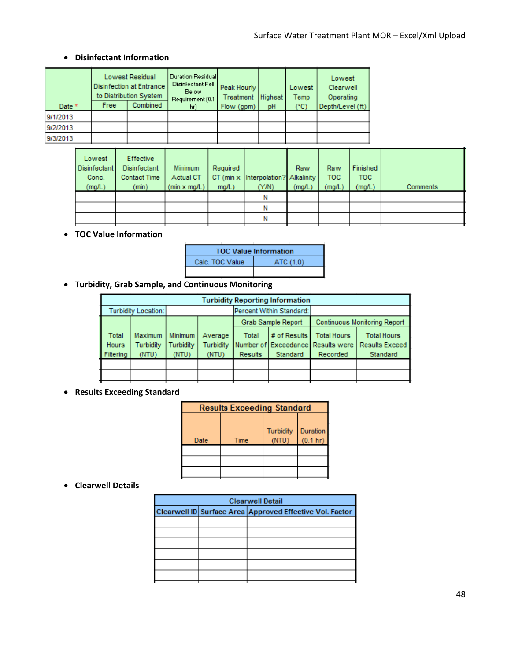# • **Disinfectant Information**

| Date *   | <b>Free</b> | <b>Lowest Residual</b><br><b>Disinfection at Entrance</b><br>to Distribution System<br><b>Combined</b> | Duration Residual<br>Disinfectant Fell<br><b>Below</b><br>Requirement (0.1)<br>hr) | Peak Hourly<br>Treatment<br>Flow (gpm) | Highest<br>pH | Lowest<br>Temp<br>(°C) | Lowest<br>Clearwell<br>Operating<br>Depth/Level (ft) |
|----------|-------------|--------------------------------------------------------------------------------------------------------|------------------------------------------------------------------------------------|----------------------------------------|---------------|------------------------|------------------------------------------------------|
| 9/1/2013 |             |                                                                                                        |                                                                                    |                                        |               |                        |                                                      |
| 9/2/2013 |             |                                                                                                        |                                                                                    |                                        |               |                        |                                                      |
| 9/3/2013 |             |                                                                                                        |                                                                                    |                                        |               |                        |                                                      |

| Lowest<br><b>Disinfectant</b><br>Conc.<br>(mg/L) | <b>Effective</b><br><b>Disinfectant</b><br><b>Contact Time</b><br>(min) | <b>Minimum</b><br>Actual CT<br>(min x mg/L) | Required<br>mg/L) | CT (min x Interpolation? Alkalinity<br>(Y/N) | Raw<br>(mg/L) | Raw<br>TOC.<br>(mg/L) | Finished<br>TOC.<br>(mg/L) | Comments |
|--------------------------------------------------|-------------------------------------------------------------------------|---------------------------------------------|-------------------|----------------------------------------------|---------------|-----------------------|----------------------------|----------|
|                                                  |                                                                         |                                             |                   |                                              |               |                       |                            |          |
|                                                  |                                                                         |                                             |                   | Ν                                            |               |                       |                            |          |
|                                                  |                                                                         |                                             |                   | Ν                                            |               |                       |                            |          |

# • **TOC Value Information**

|                 | <b>TOC Value Information</b> |
|-----------------|------------------------------|
| Calc. TOC Value | ATC (1.0)                    |
|                 |                              |

• **Turbidity, Grab Sample, and Continuous Monitoring**

| <b>Turbidity Reporting Information</b> |                |                |           |                    |                          |                                   |                       |  |
|----------------------------------------|----------------|----------------|-----------|--------------------|--------------------------|-----------------------------------|-----------------------|--|
| <b>Turbidity Location:</b>             |                |                |           |                    | Percent Within Standard: |                                   |                       |  |
|                                        |                |                |           | Grab Sample Report |                          | Continuous Monitoring Report      |                       |  |
| Total                                  | <b>Maximum</b> | <b>Minimum</b> | Average   | Total              | # of Results             | <b>Total Hours</b>                | <b>Total Hours</b>    |  |
| <b>Hours</b>                           | Turbidity      | Turbidity      | Turbidity |                    |                          | Number of Exceedance Results were | <b>Results Exceed</b> |  |
| Filtering                              | (NTU)          | (NTU)          | (NTU)     | <b>Results</b>     | Standard                 | Recorded                          | Standard              |  |
|                                        |                |                |           |                    |                          |                                   |                       |  |
|                                        |                |                |           |                    |                          |                                   |                       |  |
|                                        |                |                |           |                    |                          |                                   |                       |  |

# • **Results Exceeding Standard**

| <b>Results Exceeding Standard</b> |      |                  |                                |  |  |  |
|-----------------------------------|------|------------------|--------------------------------|--|--|--|
| Date                              | Time | <b>Turbidity</b> | Duration<br>$(0.1 \text{ hr})$ |  |  |  |
|                                   |      |                  |                                |  |  |  |
|                                   |      |                  |                                |  |  |  |
|                                   |      |                  |                                |  |  |  |

#### • **Clearwell Details**

| <b>Clearwell Detail</b> |                                                          |  |  |  |  |  |
|-------------------------|----------------------------------------------------------|--|--|--|--|--|
|                         | Clearwell ID Surface Area Approved Effective Vol. Factor |  |  |  |  |  |
|                         |                                                          |  |  |  |  |  |
|                         |                                                          |  |  |  |  |  |
|                         |                                                          |  |  |  |  |  |
|                         |                                                          |  |  |  |  |  |
|                         |                                                          |  |  |  |  |  |
|                         |                                                          |  |  |  |  |  |
|                         |                                                          |  |  |  |  |  |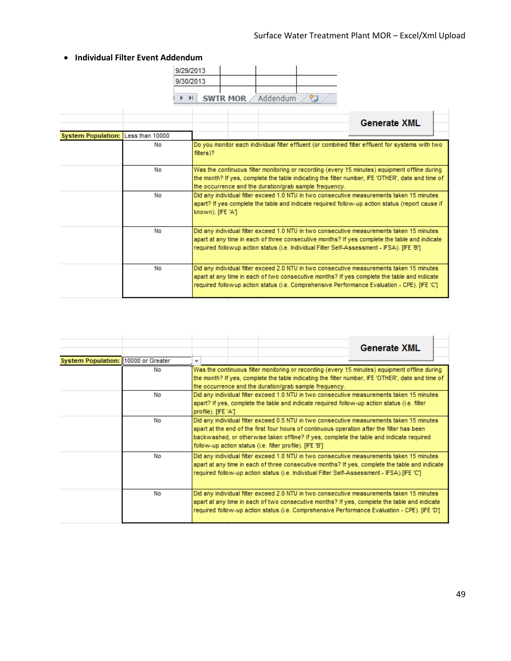|                           |                       | 9/29/2013<br>9/30/2013<br>$\blacktriangleright$ $\blacktriangleright$ $\vdash$ |                   | <b>SWTR MOR</b> Addendum |                                                        |                                                                                                                                                                                                                                                                                          |
|---------------------------|-----------------------|--------------------------------------------------------------------------------|-------------------|--------------------------|--------------------------------------------------------|------------------------------------------------------------------------------------------------------------------------------------------------------------------------------------------------------------------------------------------------------------------------------------------|
|                           |                       |                                                                                |                   |                          |                                                        | <b>Generate XML</b>                                                                                                                                                                                                                                                                      |
| <b>System Population:</b> | Less than 10000<br>No | filters)?                                                                      |                   |                          |                                                        | Do you monitor each individual filter effluent (or combined filter effluent for systems with two                                                                                                                                                                                         |
|                           | No                    |                                                                                |                   |                          | the occurrence and the duration/grab sample frequency. | Was the continuous filter monitoring or recording (every 15 minutes) equipment offline during<br>the month? If yes, complete the table indicating the filter number, IFE 'OTHER', date and time of                                                                                       |
|                           | No                    |                                                                                | known). [IFE 'A'] |                          |                                                        | Did any individual filter exceed 1.0 NTU in two consecutive measurements taken 15 minutes<br>apart? If yes complete the table and indicate required follow-up action status (report cause if                                                                                             |
|                           | No                    |                                                                                |                   |                          |                                                        | Did any individual filter exceed 1.0 NTU in two consecutive measurements taken 15 minutes<br>apart at any time in each of three consecutive months? If yes complete the table and indicate<br>required followup action status (i.e. Individual Filter Self-Assessment - IFSA). [IFE 'B'] |
|                           | No                    |                                                                                |                   |                          |                                                        | Did any individual filter exceed 2.0 NTU in two consecutive measurements taken 15 minutes<br>apart at any time in each of two consecutive months? If yes complete the table and indicate<br>required followup action status (i.e. Comprehensive Performance Evaluation - CPE). [IFE 'C'] |

|                                     |    | <b>Generate XML</b>                                                                                                                                                                                                                                                                                                                             |  |  |  |  |  |  |  |
|-------------------------------------|----|-------------------------------------------------------------------------------------------------------------------------------------------------------------------------------------------------------------------------------------------------------------------------------------------------------------------------------------------------|--|--|--|--|--|--|--|
| System Population: 10000 or Greater |    | $\overline{\phantom{a}}$                                                                                                                                                                                                                                                                                                                        |  |  |  |  |  |  |  |
|                                     | No | Was the continuous filter monitoring or recording (every 15 minutes) equipment offline during<br>the month? If yes, complete the table indicating the filter number, IFE 'OTHER', date and time of<br>the occurrence and the duration/grab sample frequency.                                                                                    |  |  |  |  |  |  |  |
|                                     | No | Did any individual filter exceed 1.0 NTU in two consecutive measurements taken 15 minutes<br>apart? If yes, complete the table and indicate required follow-up action status (i.e. filter<br>profile). [IFE 'A']                                                                                                                                |  |  |  |  |  |  |  |
|                                     | No | Did any individual filter exceed 0.5 NTU in two consecutive measurements taken 15 minutes<br>apart at the end of the first four hours of continuous operation after the filter has been<br>backwashed, or otherwise taken offline? If yes, complete the table and indicate required<br>follow-up action status (i.e. filter profile). [IFE 'B'] |  |  |  |  |  |  |  |
|                                     | No | Did any individual filter exceed 1.0 NTU in two consecutive measurements taken 15 minutes<br>apart at any time in each of three consecutive months? If yes, complete the table and indicate<br>required follow-up action status (i.e. Individual Filter Self-Assessment - IFSA).[IFE 'C']                                                       |  |  |  |  |  |  |  |
|                                     | No | Did any individual filter exceed 2.0 NTU in two consecutive measurements taken 15 minutes<br>apart at any time in each of two consecutive months? If yes, complete the table and indicate<br>required follow-up action status (i.e. Comprehensive Performance Evaluation - CPE). [IFE 'D']                                                      |  |  |  |  |  |  |  |

# • **Individual Filter Event Addendum**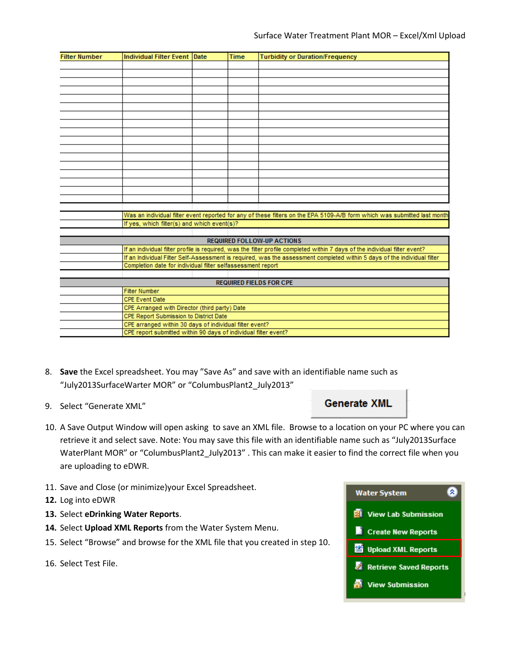| <b>Filter Number</b> | Individual Filter Event Date                                    |  | <b>Time</b> | <b>Turbidity or Duration/Frequency</b>                                                                                      |  |  |  |  |
|----------------------|-----------------------------------------------------------------|--|-------------|-----------------------------------------------------------------------------------------------------------------------------|--|--|--|--|
|                      |                                                                 |  |             |                                                                                                                             |  |  |  |  |
|                      |                                                                 |  |             |                                                                                                                             |  |  |  |  |
|                      |                                                                 |  |             |                                                                                                                             |  |  |  |  |
|                      |                                                                 |  |             |                                                                                                                             |  |  |  |  |
|                      |                                                                 |  |             |                                                                                                                             |  |  |  |  |
|                      |                                                                 |  |             |                                                                                                                             |  |  |  |  |
|                      |                                                                 |  |             |                                                                                                                             |  |  |  |  |
|                      |                                                                 |  |             |                                                                                                                             |  |  |  |  |
|                      |                                                                 |  |             |                                                                                                                             |  |  |  |  |
|                      |                                                                 |  |             |                                                                                                                             |  |  |  |  |
|                      |                                                                 |  |             |                                                                                                                             |  |  |  |  |
|                      |                                                                 |  |             |                                                                                                                             |  |  |  |  |
|                      |                                                                 |  |             |                                                                                                                             |  |  |  |  |
|                      |                                                                 |  |             |                                                                                                                             |  |  |  |  |
|                      |                                                                 |  |             |                                                                                                                             |  |  |  |  |
|                      |                                                                 |  |             |                                                                                                                             |  |  |  |  |
|                      |                                                                 |  |             |                                                                                                                             |  |  |  |  |
|                      |                                                                 |  |             |                                                                                                                             |  |  |  |  |
|                      |                                                                 |  |             | Was an individual filter event reported for any of these filters on the EPA 5109-A/B form which was submitted last month    |  |  |  |  |
|                      | If yes, which filter(s) and which event(s)?                     |  |             |                                                                                                                             |  |  |  |  |
|                      |                                                                 |  |             |                                                                                                                             |  |  |  |  |
|                      |                                                                 |  |             | <b>REQUIRED FOLLOW-UP ACTIONS</b>                                                                                           |  |  |  |  |
|                      |                                                                 |  |             | If an individual filter profile is required, was the filter profile completed within 7 days of the individual filter event? |  |  |  |  |
|                      |                                                                 |  |             | If an Individual Filter Self-Assessment is required, was the assessment completed within 5 days of the individual filter    |  |  |  |  |
|                      | Completion date for individual filter selfassessment report     |  |             |                                                                                                                             |  |  |  |  |
|                      |                                                                 |  |             |                                                                                                                             |  |  |  |  |
|                      |                                                                 |  |             | <b>REQUIRED FIELDS FOR CPE</b>                                                                                              |  |  |  |  |
|                      | <b>Filter Number</b>                                            |  |             |                                                                                                                             |  |  |  |  |
|                      | <b>CPE Event Date</b>                                           |  |             |                                                                                                                             |  |  |  |  |
|                      | CPE Arranged with Director (third party) Date                   |  |             |                                                                                                                             |  |  |  |  |
|                      | CPE Report Submission to District Date                          |  |             |                                                                                                                             |  |  |  |  |
|                      | CPE arranged within 30 days of individual filter event?         |  |             |                                                                                                                             |  |  |  |  |
|                      | CPE report submitted within 90 days of individual filter event? |  |             |                                                                                                                             |  |  |  |  |

- 8. **Save** the Excel spreadsheet. You may "Save As" and save with an identifiable name such as "July2013SurfaceWarter MOR" or "ColumbusPlant2\_July2013"
- 9. Select "Generate XML"

# **Generate XML**

- 10. A Save Output Window will open asking to save an XML file. Browse to a location on your PC where you can retrieve it and select save. Note: You may save this file with an identifiable name such as "July2013Surface WaterPlant MOR" or "ColumbusPlant2\_July2013" . This can make it easier to find the correct file when you are uploading to eDWR.
- 11. Save and Close (or minimize)your Excel Spreadsheet.
- **12.** Log into eDWR
- **13.** Select **eDrinking Water Reports**.
- **14.** Select **Upload XML Reports** from the Water System Menu.
- 15. Select "Browse" and browse for the XML file that you created in step 10.
- 16. Select Test File.

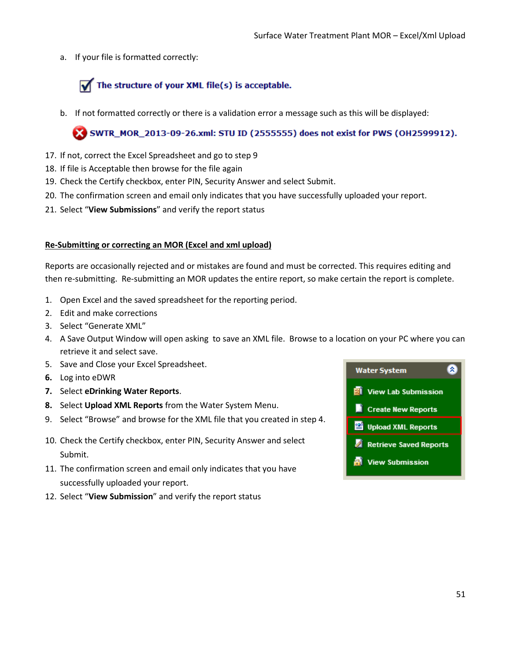a. If your file is formatted correctly:

# The structure of your XML file(s) is acceptable.

b. If not formatted correctly or there is a validation error a message such as this will be displayed:

# X SWTR\_MOR\_2013-09-26.xml: STU ID (2555555) does not exist for PWS (OH2599912).

- 17. If not, correct the Excel Spreadsheet and go to step 9
- 18. If file is Acceptable then browse for the file again
- 19. Check the Certify checkbox, enter PIN, Security Answer and select Submit.
- 20. The confirmation screen and email only indicates that you have successfully uploaded your report.
- 21. Select "**View Submissions**" and verify the report status

# **Re-Submitting or correcting an MOR (Excel and xml upload)**

Reports are occasionally rejected and or mistakes are found and must be corrected. This requires editing and then re-submitting. Re-submitting an MOR updates the entire report, so make certain the report is complete.

- 1. Open Excel and the saved spreadsheet for the reporting period.
- 2. Edit and make corrections
- 3. Select "Generate XML"
- 4. A Save Output Window will open asking to save an XML file. Browse to a location on your PC where you can retrieve it and select save.
- 5. Save and Close your Excel Spreadsheet.
- **6.** Log into eDWR
- **7.** Select **eDrinking Water Reports**.
- **8.** Select **Upload XML Reports** from the Water System Menu.
- 9. Select "Browse" and browse for the XML file that you created in step 4.
- 10. Check the Certify checkbox, enter PIN, Security Answer and select Submit.
- 11. The confirmation screen and email only indicates that you have successfully uploaded your report.
- 12. Select "**View Submission**" and verify the report status